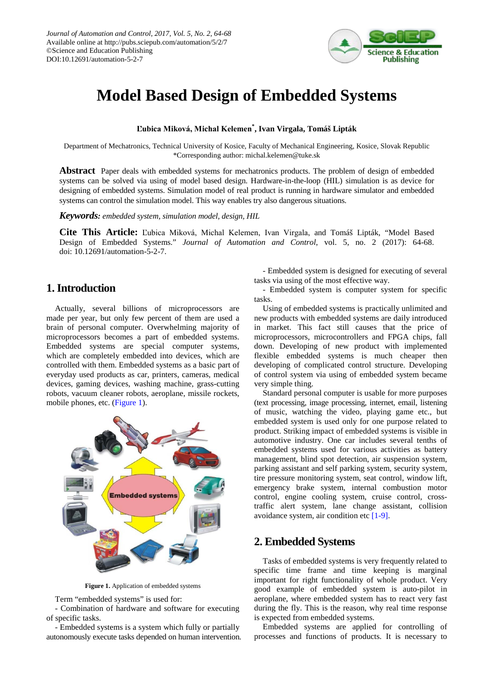

# **Model Based Design of Embedded Systems**

**Ľubica Miková, Michal Kelemen\* , Ivan Virgala, Tomáš Lipták**

Department of Mechatronics, Technical University of Kosice, Faculty of Mechanical Engineering, Kosice, Slovak Republic \*Corresponding author: michal.kelemen@tuke.sk

**Abstract** Paper deals with embedded systems for mechatronics products. The problem of design of embedded systems can be solved via using of model based design. Hardware-in-the-loop (HIL) simulation is as device for designing of embedded systems. Simulation model of real product is running in hardware simulator and embedded systems can control the simulation model. This way enables try also dangerous situations.

*Keywords: embedded system, simulation model, design, HIL*

**Cite This Article:** Ľubica Miková, Michal Kelemen, Ivan Virgala, and Tomáš Lipták, "Model Based Design of Embedded Systems." *Journal of Automation and Control*, vol. 5, no. 2 (2017): 64-68. doi: 10.12691/automation-5-2-7.

# **1. Introduction**

Actually, several billions of microprocessors are made per year, but only few percent of them are used a brain of personal computer. Overwhelming majority of microprocessors becomes a part of embedded systems. Embedded systems are special computer systems, which are completely embedded into devices, which are controlled with them. Embedded systems as a basic part of everyday used products as car, printers, cameras, medical devices, gaming devices, washing machine, grass-cutting robots, vacuum cleaner robots, aeroplane, missile rockets, mobile phones, etc. [\(Figure 1\)](#page-0-0).

<span id="page-0-0"></span>

**Figure 1.** Application of embedded systems

Term "embedded systems" is used for:

- Combination of hardware and software for executing of specific tasks.

- Embedded systems is a system which fully or partially autonomously execute tasks depended on human intervention.

- Embedded system is designed for executing of several tasks via using of the most effective way.

- Embedded system is computer system for specific tasks.

Using of embedded systems is practically unlimited and new products with embedded systems are daily introduced in market. This fact still causes that the price of microprocessors, microcontrollers and FPGA chips, fall down. Developing of new product with implemented flexible embedded systems is much cheaper then developing of complicated control structure. Developing of control system via using of embedded system became very simple thing.

Standard personal computer is usable for more purposes (text processing, image processing, internet, email, listening of music, watching the video, playing game etc., but embedded system is used only for one purpose related to product. Striking impact of embedded systems is visible in automotive industry. One car includes several tenths of embedded systems used for various activities as battery management, blind spot detection, air suspension system, parking assistant and self parking system, security system, tire pressure monitoring system, seat control, window lift, emergency brake system, internal combustion motor control, engine cooling system, cruise control, crosstraffic alert system, lane change assistant, collision avoidance system, air condition etc [\[1-9\].](#page-3-0)

### **2. Embedded Systems**

Tasks of embedded systems is very frequently related to specific time frame and time keeping is marginal important for right functionality of whole product. Very good example of embedded system is auto-pilot in aeroplane, where embedded system has to react very fast during the fly. This is the reason, why real time response is expected from embedded systems.

Embedded systems are applied for controlling of processes and functions of products. It is necessary to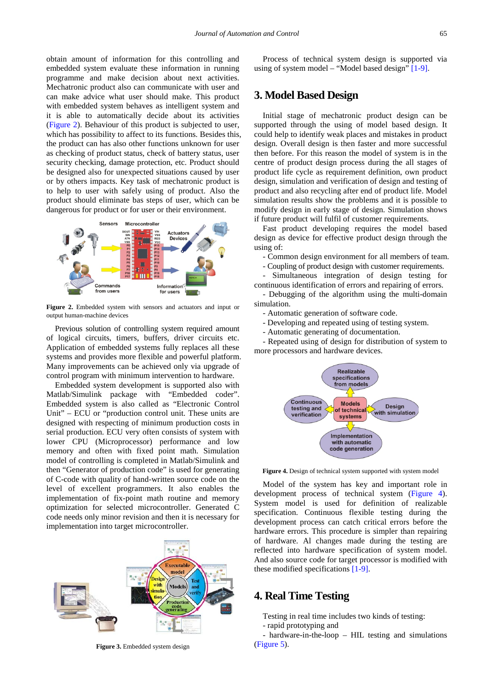obtain amount of information for this controlling and embedded system evaluate these information in running programme and make decision about next activities. Mechatronic product also can communicate with user and can make advice what user should make. This product with embedded system behaves as intelligent system and it is able to automatically decide about its activities [\(Figure 2\)](#page-1-0). Behaviour of this product is subjected to user, which has possibility to affect to its functions. Besides this, the product can has also other functions unknown for user as checking of product status, check of battery status, user security checking, damage protection, etc. Product should be designed also for unexpected situations caused by user or by others impacts. Key task of mechatronic product is to help to user with safely using of product. Also the product should eliminate bas steps of user, which can be dangerous for product or for user or their environment.

<span id="page-1-0"></span>

**Figure 2.** Embedded system with sensors and actuators and input or output human-machine devices

Previous solution of controlling system required amount of logical circuits, timers, buffers, driver circuits etc. Application of embedded systems fully replaces all these systems and provides more flexible and powerful platform. Many improvements can be achieved only via upgrade of control program with minimum intervention to hardware.

Embedded system development is supported also with Matlab/Simulink package with "Embedded coder". Embedded system is also called as "Electronic Control Unit" – ECU or "production control unit. These units are designed with respecting of minimum production costs in serial production. ECU very often consists of system with lower CPU (Microprocessor) performance and low memory and often with fixed point math. Simulation model of controlling is completed in Matlab/Simulink and then "Generator of production code" is used for generating of C-code with quality of hand-written source code on the level of excellent programmers. It also enables the implementation of fix-point math routine and memory optimization for selected microcontroller. Generated C code needs only minor revision and then it is necessary for implementation into target microcontroller.



**Figure 3.** Embedded system design

Process of technical system design is supported via using of system model – "Model based design" [\[1-9\].](#page-3-0)

# **3. Model Based Design**

Initial stage of mechatronic product design can be supported through the using of model based design. It could help to identify weak places and mistakes in product design. Overall design is then faster and more successful then before. For this reason the model of system is in the centre of product design process during the all stages of product life cycle as requirement definition, own product design, simulation and verification of design and testing of product and also recycling after end of product life. Model simulation results show the problems and it is possible to modify design in early stage of design. Simulation shows if future product will fulfil of customer requirements.

Fast product developing requires the model based design as device for effective product design through the using of:

- Common design environment for all members of team.

- Coupling of product design with customer requirements.

Simultaneous integration of design testing for continuous identification of errors and repairing of errors.

- Debugging of the algorithm using the multi-domain simulation.

- Automatic generation of software code.

- Developing and repeated using of testing system.

- Automatic generating of documentation.

<span id="page-1-1"></span>- Repeated using of design for distribution of system to more processors and hardware devices.



**Figure 4.** Design of technical system supported with system model

Model of the system has key and important role in development process of technical system [\(Figure 4\)](#page-1-1). System model is used for definition of realizable specification. Continuous flexible testing during the development process can catch critical errors before the hardware errors. This procedure is simpler than repairing of hardware. Al changes made during the testing are reflected into hardware specification of system model. And also source code for target processor is modified with these modified specifications [\[1-9\].](#page-3-0)

#### **4. Real Time Testing**

Testing in real time includes two kinds of testing:

- rapid prototyping and

- hardware-in-the-loop – HIL testing and simulations [\(Figure 5\)](#page-2-0).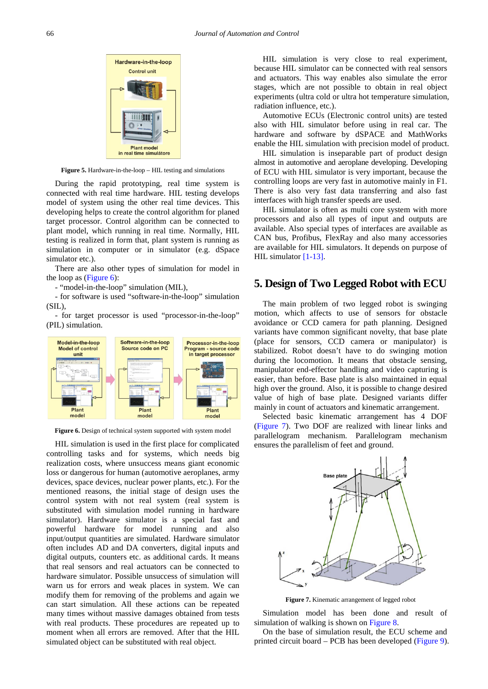<span id="page-2-0"></span>

**Figure 5.** Hardware-in-the-loop – HIL testing and simulations

During the rapid prototyping, real time system is connected with real time hardware. HIL testing develops model of system using the other real time devices. This developing helps to create the control algorithm for planed target processor. Control algorithm can be connected to plant model, which running in real time. Normally, HIL testing is realized in form that, plant system is running as simulation in computer or in simulator (e.g. dSpace simulator etc.).

There are also other types of simulation for model in the loop as [\(Figure 6\)](#page-2-1):

- "model-in-the-loop" simulation (MIL),

- for software is used "software-in-the-loop" simulation (SIL),

- for target processor is used "processor-in-the-loop" (PIL) simulation.

<span id="page-2-1"></span>

**Figure 6.** Design of technical system supported with system model

HIL simulation is used in the first place for complicated controlling tasks and for systems, which needs big realization costs, where unsuccess means giant economic loss or dangerous for human (automotive aeroplanes, army devices, space devices, nuclear power plants, etc.). For the mentioned reasons, the initial stage of design uses the control system with not real system (real system is substituted with simulation model running in hardware simulator). Hardware simulator is a special fast and powerful hardware for model running and also input/output quantities are simulated. Hardware simulator often includes AD and DA converters, digital inputs and digital outputs, counters etc. as additional cards. It means that real sensors and real actuators can be connected to hardware simulator. Possible unsuccess of simulation will warn us for errors and weak places in system. We can modify them for removing of the problems and again we can start simulation. All these actions can be repeated many times without massive damages obtained from tests with real products. These procedures are repeated up to moment when all errors are removed. After that the HIL simulated object can be substituted with real object.

HIL simulation is very close to real experiment, because HIL simulator can be connected with real sensors and actuators. This way enables also simulate the error stages, which are not possible to obtain in real object experiments (ultra cold or ultra hot temperature simulation, radiation influence, etc.).

Automotive ECUs (Electronic control units) are tested also with HIL simulator before using in real car. The hardware and software by dSPACE and MathWorks enable the HIL simulation with precision model of product.

HIL simulation is inseparable part of product design almost in automotive and aeroplane developing. Developing of ECU with HIL simulator is very important, because the controlling loops are very fast in automotive mainly in F1. There is also very fast data transferring and also fast interfaces with high transfer speeds are used.

HIL simulator is often as multi core system with more processors and also all types of input and outputs are available. Also special types of interfaces are available as CAN bus, Profibus, FlexRay and also many accessories are available for HIL simulators. It depends on purpose of HIL simulato[r \[1-13\].](#page-3-0)

#### **5. Design of Two Legged Robot with ECU**

The main problem of two legged robot is swinging motion, which affects to use of sensors for obstacle avoidance or CCD camera for path planning. Designed variants have common significant novelty, that base plate (place for sensors, CCD camera or manipulator) is stabilized. Robot doesn't have to do swinging motion during the locomotion. It means that obstacle sensing, manipulator end-effector handling and video capturing is easier, than before. Base plate is also maintained in equal high over the ground. Also, it is possible to change desired value of high of base plate. Designed variants differ mainly in count of actuators and kinematic arrangement.

Selected basic kinematic arrangement has 4 DOF [\(Figure 7\)](#page-2-2). Two DOF are realized with linear links and parallelogram mechanism. Parallelogram mechanism ensures the parallelism of feet and ground.

<span id="page-2-2"></span>

**Figure 7.** Kinematic arrangement of legged robot

Simulation model has been done and result of simulation of walking is shown on [Figure 8.](#page-3-1)

On the base of simulation result, the ECU scheme and printed circuit board – PCB has been developed [\(Figure 9\)](#page-3-2).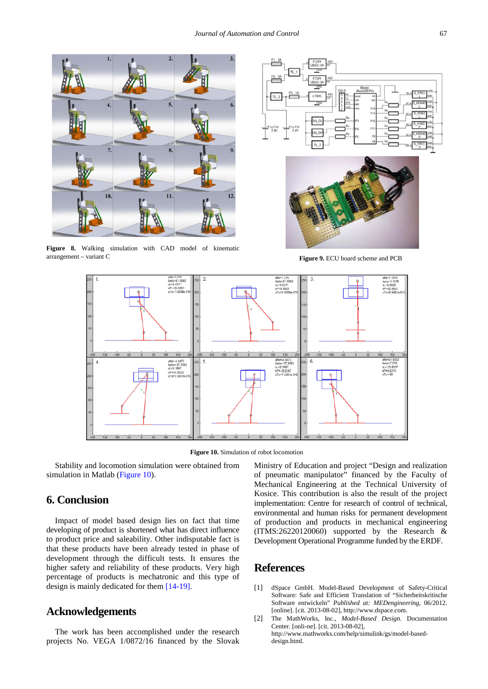<span id="page-3-1"></span>

<span id="page-3-3"></span>**Figure 8.** Walking simulation with CAD model of kinematic arrangement – variant C **Figure 9.** ECU board scheme and PCB

<span id="page-3-2"></span>



**Figure 10.** Simulation of robot locomotion

Stability and locomotion simulation were obtained from simulation in Matlab [\(Figure 10\)](#page-3-3).

# **6. Conclusion**

Impact of model based design lies on fact that time developing of product is shortened what has direct influence to product price and saleability. Other indisputable fact is that these products have been already tested in phase of development through the difficult tests. It ensures the higher safety and reliability of these products. Very high percentage of products is mechatronic and this type of design is mainly dedicated for them [\[14-19\].](#page-4-0)

#### **Acknowledgements**

The work has been accomplished under the research projects No. VEGA 1/0872/16 financed by the Slovak

Ministry of Education and project "Design and realization of pneumatic manipulator" financed by the Faculty of Mechanical Engineering at the Technical University of Kosice. This contribution is also the result of the project implementation: Centre for research of control of technical, environmental and human risks for permanent development of production and products in mechanical engineering (ITMS:26220120060) supported by the Research & Development Operational Programme funded by the ERDF.

# **References**

- <span id="page-3-0"></span>[1] dSpace GmbH. Model-Based Development of Safety-Critical Software: Safe and Efficient Translation of "Sicherheitskritische Software entwickeln" *Published at: MEDengineering*, 06/2012. [online]. [cit. 2013-08-02], http://www.dspace.com.
- [2] The MathWorks, Inc., *Model-Based Design*. Documentation Center. [onli-ne]. [cit. 2013-08-02], http://www.mathworks.com/help/simulink/gs/model-baseddesign.html.